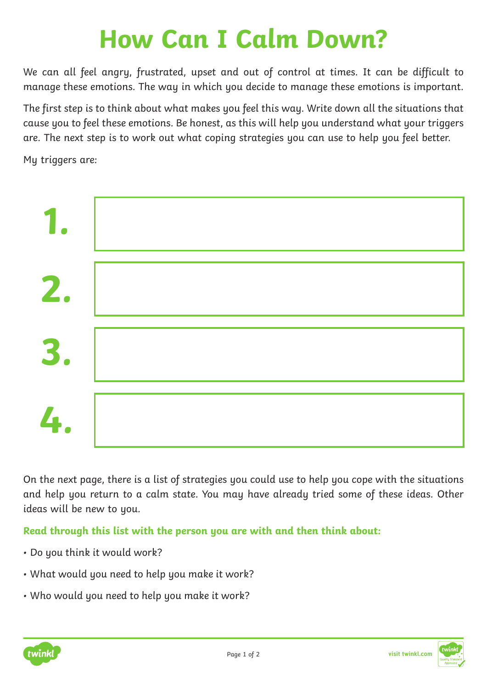## **How Can I Calm Down?**

We can all feel angry, frustrated, upset and out of control at times. It can be difficult to manage these emotions. The way in which you decide to manage these emotions is important.

The first step is to think about what makes you feel this way. Write down all the situations that cause you to feel these emotions. Be honest, as this will help you understand what your triggers are. The next step is to work out what coping strategies you can use to help you feel better.

My triggers are:



On the next page, there is a list of strategies you could use to help you cope with the situations and help you return to a calm state. You may have already tried some of these ideas. Other ideas will be new to you.

**Read through this list with the person you are with and then think about:**

- Do you think it would work?
- What would you need to help you make it work?
- Who would you need to help you make it work?